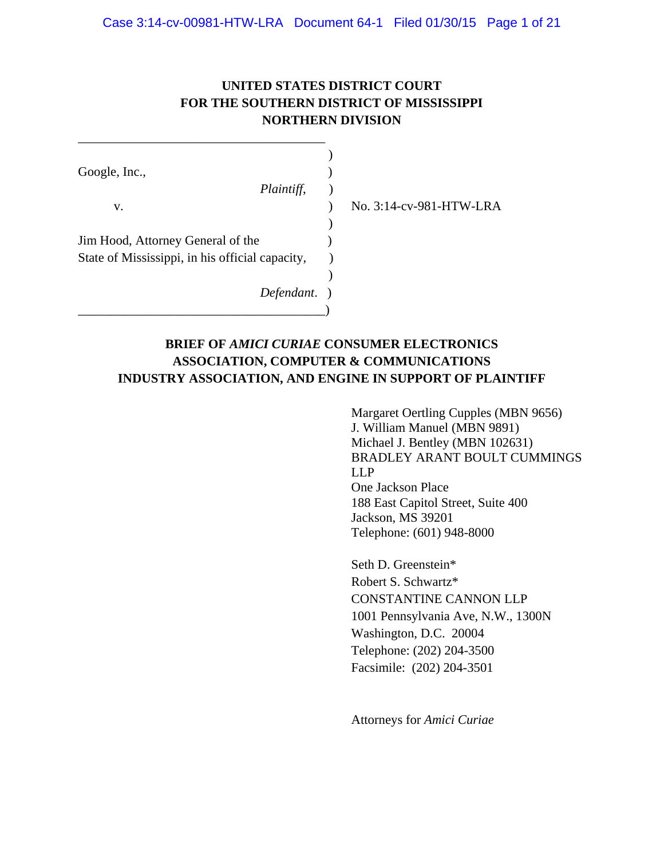## **UNITED STATES DISTRICT COURT FOR THE SOUTHERN DISTRICT OF MISSISSIPPI NORTHERN DIVISION**

| Google, Inc.,                                   |  |
|-------------------------------------------------|--|
| Plaintiff,                                      |  |
| v.                                              |  |
|                                                 |  |
| Jim Hood, Attorney General of the               |  |
| State of Mississippi, in his official capacity, |  |
|                                                 |  |
| Defendant.                                      |  |
|                                                 |  |

\_\_\_\_\_\_\_\_\_\_\_\_\_\_\_\_\_\_\_\_\_\_\_\_\_\_\_\_\_\_\_\_\_\_\_\_\_\_

v. ) No. 3:14-cv-981-HTW-LRA

## **BRIEF OF** *AMICI CURIAE* **CONSUMER ELECTRONICS ASSOCIATION, COMPUTER & COMMUNICATIONS INDUSTRY ASSOCIATION, AND ENGINE IN SUPPORT OF PLAINTIFF**

Margaret Oertling Cupples (MBN 9656) J. William Manuel (MBN 9891) Michael J. Bentley (MBN 102631) BRADLEY ARANT BOULT CUMMINGS LLP One Jackson Place 188 East Capitol Street, Suite 400 Jackson, MS 39201 Telephone: (601) 948-8000

Seth D. Greenstein\* Robert S. Schwartz\* CONSTANTINE CANNON LLP 1001 Pennsylvania Ave, N.W., 1300N Washington, D.C. 20004 Telephone: (202) 204-3500 Facsimile: (202) 204-3501

Attorneys for *Amici Curiae*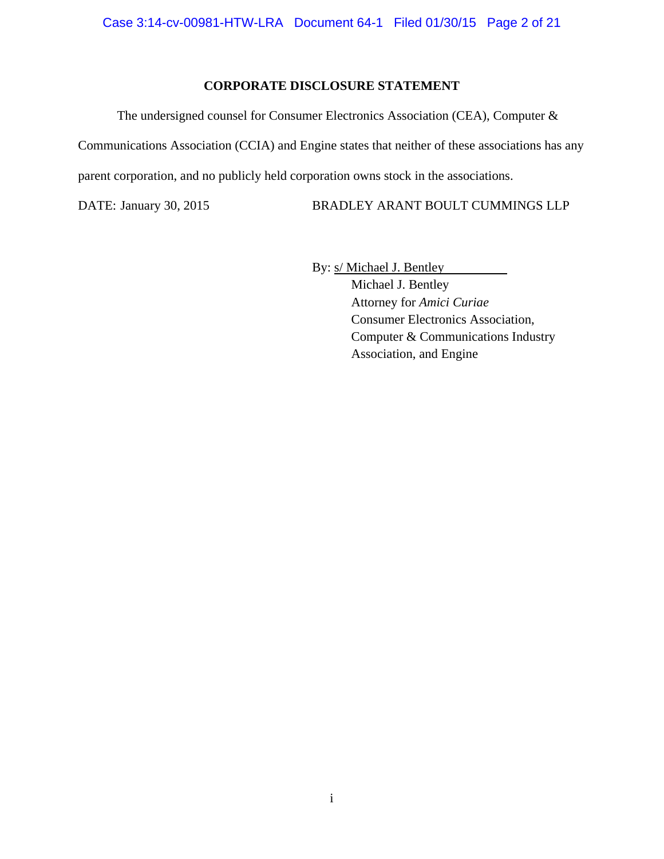### **CORPORATE DISCLOSURE STATEMENT**

The undersigned counsel for Consumer Electronics Association (CEA), Computer &

Communications Association (CCIA) and Engine states that neither of these associations has any parent corporation, and no publicly held corporation owns stock in the associations.

DATE: January 30, 2015 BRADLEY ARANT BOULT CUMMINGS LLP

By:  $s/Michael J. Bentley$ 

 Michael J. Bentley Attorney for *Amici Curiae*  Consumer Electronics Association, Computer & Communications Industry Association, and Engine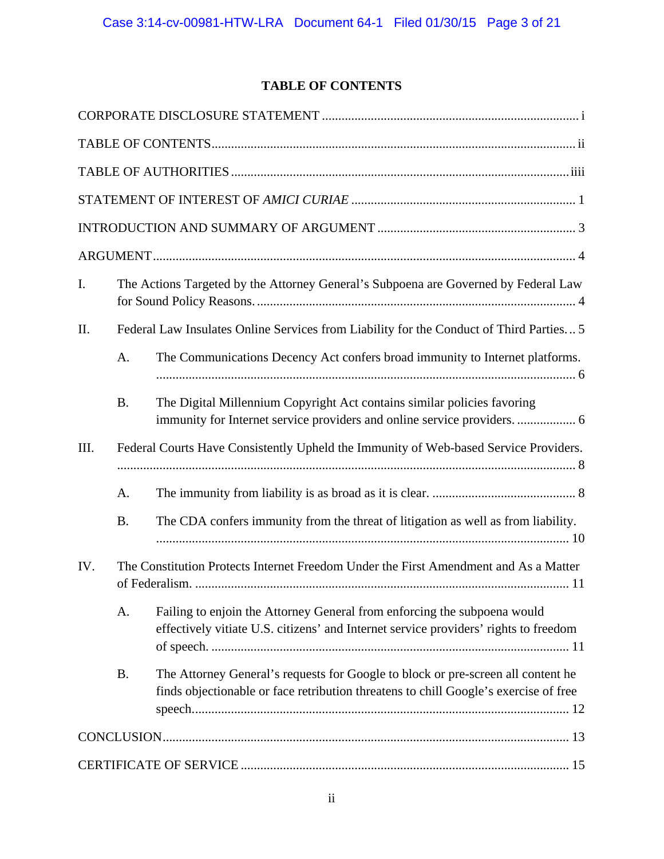# **TABLE OF CONTENTS**

| I.   |                                                                                         | The Actions Targeted by the Attorney General's Subpoena are Governed by Federal Law                                                                                      |  |  |  |  |  |  |
|------|-----------------------------------------------------------------------------------------|--------------------------------------------------------------------------------------------------------------------------------------------------------------------------|--|--|--|--|--|--|
| II.  | Federal Law Insulates Online Services from Liability for the Conduct of Third Parties 5 |                                                                                                                                                                          |  |  |  |  |  |  |
|      | A.                                                                                      | The Communications Decency Act confers broad immunity to Internet platforms.                                                                                             |  |  |  |  |  |  |
|      | <b>B.</b>                                                                               | The Digital Millennium Copyright Act contains similar policies favoring                                                                                                  |  |  |  |  |  |  |
| III. |                                                                                         | Federal Courts Have Consistently Upheld the Immunity of Web-based Service Providers.                                                                                     |  |  |  |  |  |  |
|      | A.                                                                                      |                                                                                                                                                                          |  |  |  |  |  |  |
|      | <b>B.</b>                                                                               | The CDA confers immunity from the threat of litigation as well as from liability.                                                                                        |  |  |  |  |  |  |
| IV.  | The Constitution Protects Internet Freedom Under the First Amendment and As a Matter    |                                                                                                                                                                          |  |  |  |  |  |  |
|      | A.                                                                                      | Failing to enjoin the Attorney General from enforcing the subpoena would<br>effectively vitiate U.S. citizens' and Internet service providers' rights to freedom         |  |  |  |  |  |  |
|      | <b>B.</b>                                                                               | The Attorney General's requests for Google to block or pre-screen all content he<br>finds objectionable or face retribution threatens to chill Google's exercise of free |  |  |  |  |  |  |
|      |                                                                                         |                                                                                                                                                                          |  |  |  |  |  |  |
|      |                                                                                         |                                                                                                                                                                          |  |  |  |  |  |  |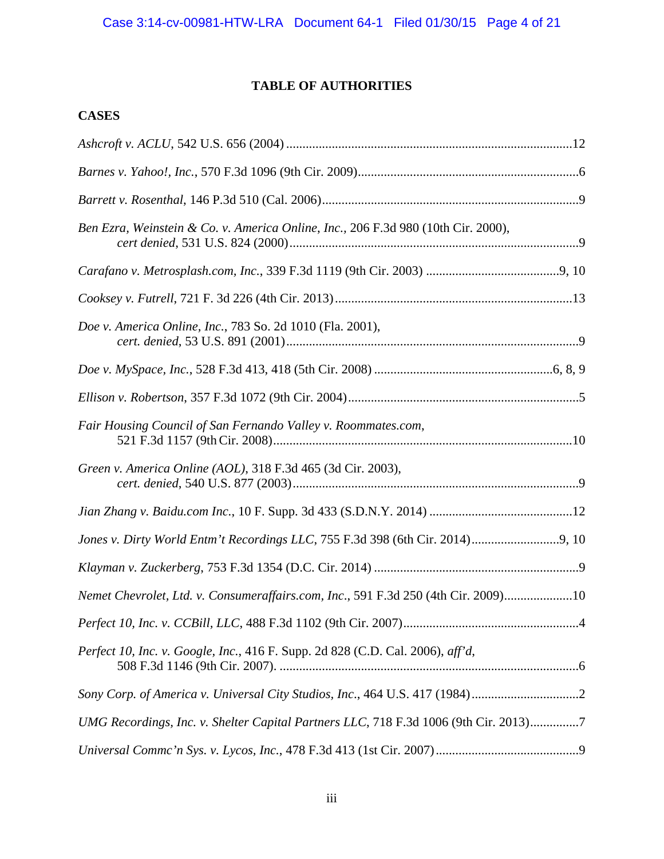# **TABLE OF AUTHORITIES**

# **CASES**

| Ben Ezra, Weinstein & Co. v. America Online, Inc., 206 F.3d 980 (10th Cir. 2000),    |  |
|--------------------------------------------------------------------------------------|--|
|                                                                                      |  |
|                                                                                      |  |
| Doe v. America Online, Inc., 783 So. 2d 1010 (Fla. 2001),                            |  |
|                                                                                      |  |
|                                                                                      |  |
| Fair Housing Council of San Fernando Valley v. Roommates.com,                        |  |
| Green v. America Online (AOL), 318 F.3d 465 (3d Cir. 2003),                          |  |
|                                                                                      |  |
|                                                                                      |  |
|                                                                                      |  |
| Nemet Chevrolet, Ltd. v. Consumeraffairs.com, Inc., 591 F.3d 250 (4th Cir. 2009)10   |  |
|                                                                                      |  |
| Perfect 10, Inc. v. Google, Inc., 416 F. Supp. 2d 828 (C.D. Cal. 2006), aff'd,       |  |
| Sony Corp. of America v. Universal City Studios, Inc., 464 U.S. 417 (1984)2          |  |
| UMG Recordings, Inc. v. Shelter Capital Partners LLC, 718 F.3d 1006 (9th Cir. 2013)7 |  |
|                                                                                      |  |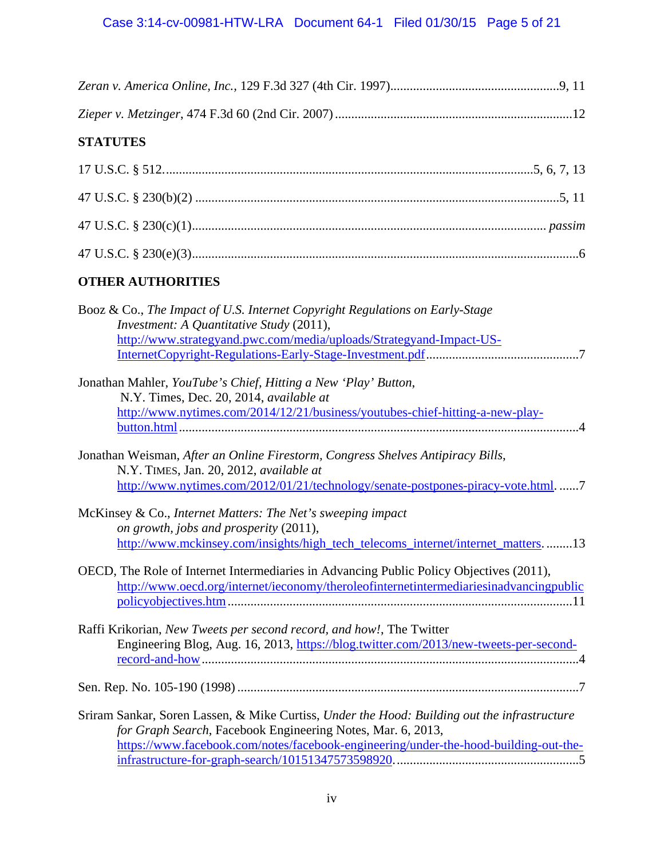| <b>STATUTES</b>                                                                                                                                                                                 |
|-------------------------------------------------------------------------------------------------------------------------------------------------------------------------------------------------|
|                                                                                                                                                                                                 |
|                                                                                                                                                                                                 |
|                                                                                                                                                                                                 |
|                                                                                                                                                                                                 |
| <b>OTHER AUTHORITIES</b>                                                                                                                                                                        |
| Booz & Co., The Impact of U.S. Internet Copyright Regulations on Early-Stage<br>Investment: A Quantitative Study (2011),<br>http://www.strategyand.pwc.com/media/uploads/Strategyand-Impact-US- |

|  |  | the contract of the contract of the contract of the contract of the contract of the contract of the contract of |                                                                                                                                                                                                      |  |
|--|--|-----------------------------------------------------------------------------------------------------------------|------------------------------------------------------------------------------------------------------------------------------------------------------------------------------------------------------|--|
|  |  |                                                                                                                 | Jonathan Mahler, YouTube's Chief, Hitting a New 'Play' Button,                                                                                                                                       |  |
|  |  | N.Y. Times, Dec. 20, 2014, <i>available at</i>                                                                  |                                                                                                                                                                                                      |  |
|  |  |                                                                                                                 | $\frac{\text{http://www.nvtimes.com/2014/12/21/hucinesc/voutubase\_chiof_bittin\alpha_a-naw\_hlav_-}{\text{http://www.nvtimes.com/2014/12/21/hucinase/voutubase\_chiof_bittin\alpha_a-naw\_hlav_-}}$ |  |

| Jonathan Weisman, After an Online Firestorm, Congress Shelves Antipiracy Bills, |                                                                                 |
|---------------------------------------------------------------------------------|---------------------------------------------------------------------------------|
| N.Y. TIMES, Jan. 20, 2012, <i>available at</i>                                  |                                                                                 |
|                                                                                 | http://www.nytimes.com/2012/01/21/technology/senate-postpones-piracy-vote.html7 |

| McKinsey & Co., Internet Matters: The Net's sweeping impact                     |  |
|---------------------------------------------------------------------------------|--|
| on growth, jobs and prosperity (2011),                                          |  |
| http://www.mckinsey.com/insights/high_tech_telecoms_internet/internet_matters13 |  |

| OECD, The Role of Internet Intermediaries in Advancing Public Policy Objectives (2011), |
|-----------------------------------------------------------------------------------------|
| http://www.oecd.org/internet/ieconomy/theroleofinternetintermediariesinadvancingpublic  |
|                                                                                         |

| Raffi Krikorian, New Tweets per second record, and how!, The Twitter                  |
|---------------------------------------------------------------------------------------|
| Engineering Blog, Aug. 16, 2013, https://blog.twitter.com/2013/new-tweets-per-second- |
|                                                                                       |
|                                                                                       |

Sen. Rep. No. 105-190 (1998) .........................................................................................................7

Sriram Sankar, Soren Lassen, & Mike Curtiss, *Under the Hood: Building out the infrastructure for Graph Search*, Facebook Engineering Notes, Mar. 6, 2013, https://www.facebook.com/notes/facebook-engineering/under-the-hood-building-out-theinfrastructure-for-graph-search/10151347573598920. ........................................................5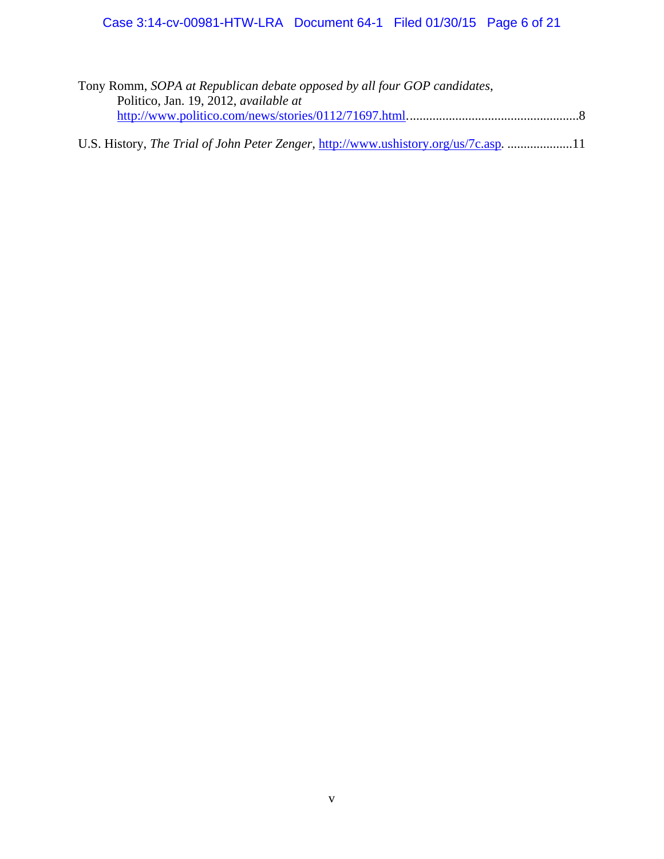| Tony Romm, SOPA at Republican debate opposed by all four GOP candidates,             |  |
|--------------------------------------------------------------------------------------|--|
| Politico, Jan. 19, 2012, <i>available at</i>                                         |  |
|                                                                                      |  |
|                                                                                      |  |
| U.S. History, The Trial of John Peter Zenger, http://www.ushistory.org/us/7c.asp. 11 |  |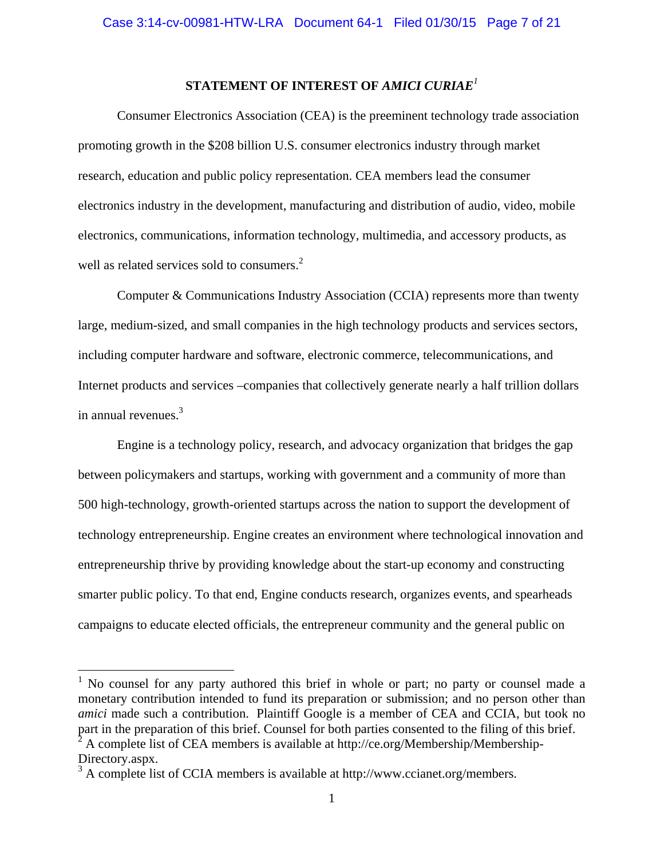## **STATEMENT OF INTEREST OF** *AMICI CURIAE<sup>1</sup>*

Consumer Electronics Association (CEA) is the preeminent technology trade association promoting growth in the \$208 billion U.S. consumer electronics industry through market research, education and public policy representation. CEA members lead the consumer electronics industry in the development, manufacturing and distribution of audio, video, mobile electronics, communications, information technology, multimedia, and accessory products, as well as related services sold to consumers.<sup>2</sup>

Computer & Communications Industry Association (CCIA) represents more than twenty large, medium-sized, and small companies in the high technology products and services sectors, including computer hardware and software, electronic commerce, telecommunications, and Internet products and services –companies that collectively generate nearly a half trillion dollars in annual revenues. $3$ 

Engine is a technology policy, research, and advocacy organization that bridges the gap between policymakers and startups, working with government and a community of more than 500 high-technology, growth-oriented startups across the nation to support the development of technology entrepreneurship. Engine creates an environment where technological innovation and entrepreneurship thrive by providing knowledge about the start-up economy and constructing smarter public policy. To that end, Engine conducts research, organizes events, and spearheads campaigns to educate elected officials, the entrepreneur community and the general public on

<sup>&</sup>lt;sup>1</sup> No counsel for any party authored this brief in whole or part; no party or counsel made a monetary contribution intended to fund its preparation or submission; and no person other than *amici* made such a contribution. Plaintiff Google is a member of CEA and CCIA, but took no part in the preparation of this brief. Counsel for both parties consented to the filing of this brief.<br>
<sup>2</sup> A complete list of CEA mombers is evailable at http://co.org/Mombership/Mombership.

A complete list of CEA members is available at http://ce.org/Membership/Membership-Directory.aspx.

<sup>&</sup>lt;sup>3</sup> A complete list of CCIA members is available at http://www.ccianet.org/members.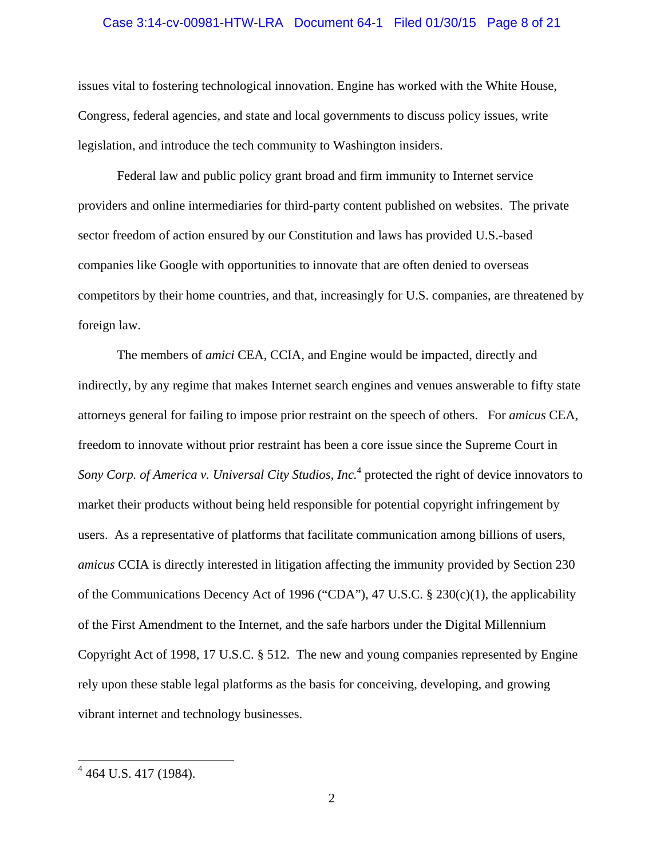### Case 3:14-cv-00981-HTW-LRA Document 64-1 Filed 01/30/15 Page 8 of 21

issues vital to fostering technological innovation. Engine has worked with the White House, Congress, federal agencies, and state and local governments to discuss policy issues, write legislation, and introduce the tech community to Washington insiders.

Federal law and public policy grant broad and firm immunity to Internet service providers and online intermediaries for third-party content published on websites. The private sector freedom of action ensured by our Constitution and laws has provided U.S.-based companies like Google with opportunities to innovate that are often denied to overseas competitors by their home countries, and that, increasingly for U.S. companies, are threatened by foreign law.

The members of *amici* CEA, CCIA, and Engine would be impacted, directly and indirectly, by any regime that makes Internet search engines and venues answerable to fifty state attorneys general for failing to impose prior restraint on the speech of others. For *amicus* CEA, freedom to innovate without prior restraint has been a core issue since the Supreme Court in Sony Corp. of America v. Universal City Studios, Inc.<sup>4</sup> protected the right of device innovators to market their products without being held responsible for potential copyright infringement by users. As a representative of platforms that facilitate communication among billions of users, *amicus* CCIA is directly interested in litigation affecting the immunity provided by Section 230 of the Communications Decency Act of 1996 ("CDA"), 47 U.S.C. § 230(c)(1), the applicability of the First Amendment to the Internet, and the safe harbors under the Digital Millennium Copyright Act of 1998, 17 U.S.C. § 512. The new and young companies represented by Engine rely upon these stable legal platforms as the basis for conceiving, developing, and growing vibrant internet and technology businesses.

 4 464 U.S. 417 (1984).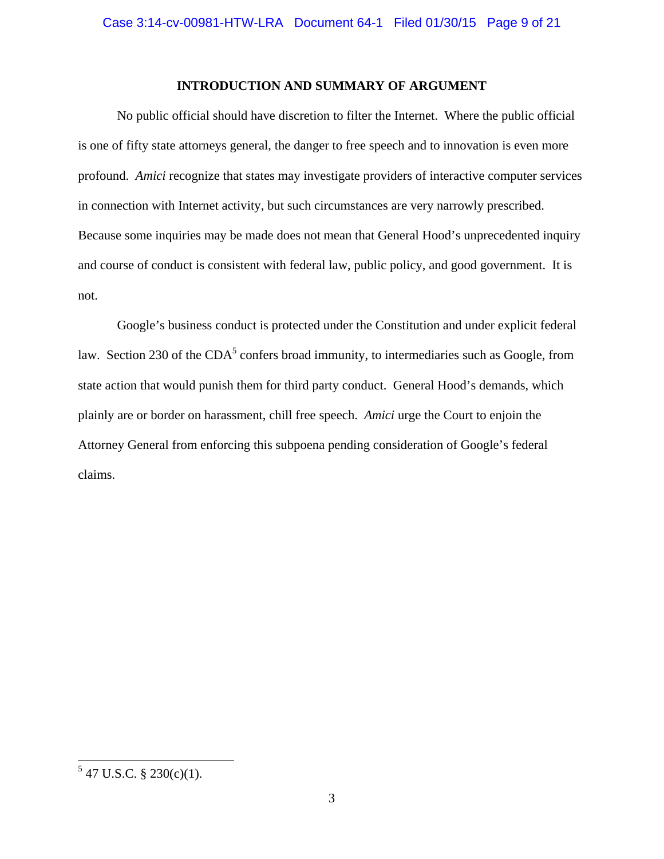### **INTRODUCTION AND SUMMARY OF ARGUMENT**

No public official should have discretion to filter the Internet. Where the public official is one of fifty state attorneys general, the danger to free speech and to innovation is even more profound. *Amici* recognize that states may investigate providers of interactive computer services in connection with Internet activity, but such circumstances are very narrowly prescribed. Because some inquiries may be made does not mean that General Hood's unprecedented inquiry and course of conduct is consistent with federal law, public policy, and good government. It is not.

Google's business conduct is protected under the Constitution and under explicit federal law. Section 230 of the  $CDA<sup>5</sup>$  confers broad immunity, to intermediaries such as Google, from state action that would punish them for third party conduct. General Hood's demands, which plainly are or border on harassment, chill free speech. *Amici* urge the Court to enjoin the Attorney General from enforcing this subpoena pending consideration of Google's federal claims.

 $5$  47 U.S.C. § 230(c)(1).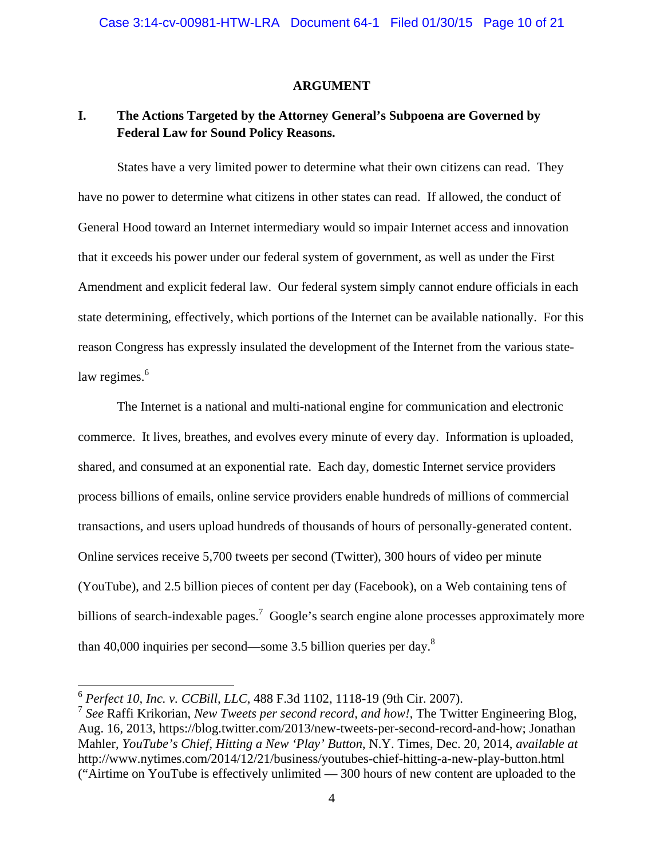### **ARGUMENT**

## **I. The Actions Targeted by the Attorney General's Subpoena are Governed by Federal Law for Sound Policy Reasons.**

States have a very limited power to determine what their own citizens can read. They have no power to determine what citizens in other states can read. If allowed, the conduct of General Hood toward an Internet intermediary would so impair Internet access and innovation that it exceeds his power under our federal system of government, as well as under the First Amendment and explicit federal law. Our federal system simply cannot endure officials in each state determining, effectively, which portions of the Internet can be available nationally. For this reason Congress has expressly insulated the development of the Internet from the various statelaw regimes. $6$ 

The Internet is a national and multi-national engine for communication and electronic commerce. It lives, breathes, and evolves every minute of every day. Information is uploaded, shared, and consumed at an exponential rate. Each day, domestic Internet service providers process billions of emails, online service providers enable hundreds of millions of commercial transactions, and users upload hundreds of thousands of hours of personally-generated content. Online services receive 5,700 tweets per second (Twitter), 300 hours of video per minute (YouTube), and 2.5 billion pieces of content per day (Facebook), on a Web containing tens of billions of search-indexable pages.<sup>7</sup> Google's search engine alone processes approximately more than 40,000 inquiries per second—some 3.5 billion queries per day.8

<sup>6</sup> *Perfect 10, Inc. v. CCBill, LLC*, 488 F.3d 1102, 1118-19 (9th Cir. 2007).

<sup>7</sup> *See* Raffi Krikorian, *New Tweets per second record, and how!*, The Twitter Engineering Blog, Aug. 16, 2013, https://blog.twitter.com/2013/new-tweets-per-second-record-and-how; Jonathan Mahler, *YouTube's Chief, Hitting a New 'Play' Button*, N.Y. Times, Dec. 20, 2014, *available at* http://www.nytimes.com/2014/12/21/business/youtubes-chief-hitting-a-new-play-button.html ("Airtime on YouTube is effectively unlimited — 300 hours of new content are uploaded to the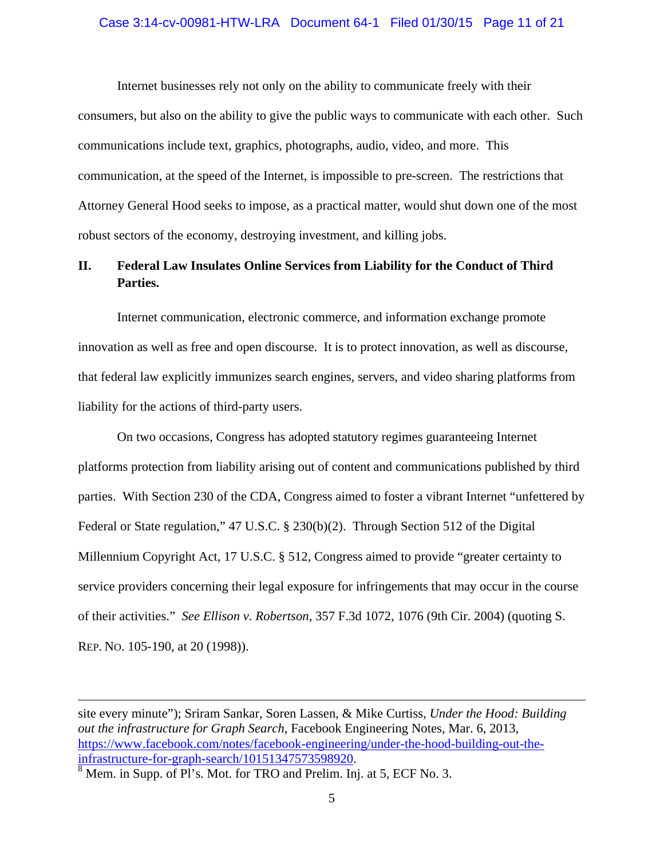#### Case 3:14-cv-00981-HTW-LRA Document 64-1 Filed 01/30/15 Page 11 of 21

Internet businesses rely not only on the ability to communicate freely with their consumers, but also on the ability to give the public ways to communicate with each other. Such communications include text, graphics, photographs, audio, video, and more. This communication, at the speed of the Internet, is impossible to pre-screen. The restrictions that Attorney General Hood seeks to impose, as a practical matter, would shut down one of the most robust sectors of the economy, destroying investment, and killing jobs.

## **II. Federal Law Insulates Online Services from Liability for the Conduct of Third Parties.**

Internet communication, electronic commerce, and information exchange promote innovation as well as free and open discourse. It is to protect innovation, as well as discourse, that federal law explicitly immunizes search engines, servers, and video sharing platforms from liability for the actions of third-party users.

On two occasions, Congress has adopted statutory regimes guaranteeing Internet platforms protection from liability arising out of content and communications published by third parties. With Section 230 of the CDA, Congress aimed to foster a vibrant Internet "unfettered by Federal or State regulation," 47 U.S.C. § 230(b)(2). Through Section 512 of the Digital Millennium Copyright Act, 17 U.S.C. § 512, Congress aimed to provide "greater certainty to service providers concerning their legal exposure for infringements that may occur in the course of their activities." *See Ellison v. Robertson*, 357 F.3d 1072, 1076 (9th Cir. 2004) (quoting S. REP. NO. 105-190, at 20 (1998)).

<u> 1989 - Johann Stein, marwolaethau a gweledydd a ganlad y ganlad y ganlad y ganlad y ganlad y ganlad y ganlad</u>

site every minute"); Sriram Sankar, Soren Lassen, & Mike Curtiss, *Under the Hood: Building out the infrastructure for Graph Search*, Facebook Engineering Notes, Mar. 6, 2013, https://www.facebook.com/notes/facebook-engineering/under-the-hood-building-out-theinfrastructure-for-graph-search/10151347573598920. 8

<sup>&</sup>lt;sup>8</sup> Mem. in Supp. of Pl's. Mot. for TRO and Prelim. Inj. at 5, ECF No. 3.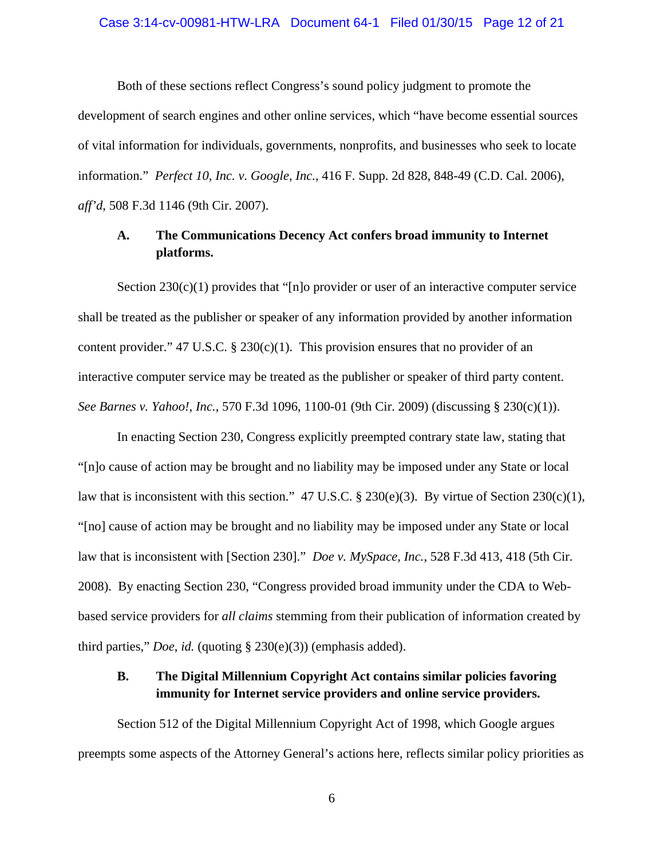#### Case 3:14-cv-00981-HTW-LRA Document 64-1 Filed 01/30/15 Page 12 of 21

Both of these sections reflect Congress's sound policy judgment to promote the development of search engines and other online services, which "have become essential sources of vital information for individuals, governments, nonprofits, and businesses who seek to locate information." *Perfect 10, Inc. v. Google, Inc.*, 416 F. Supp. 2d 828, 848-49 (C.D. Cal. 2006), *aff'd*, 508 F.3d 1146 (9th Cir. 2007).

## **A. The Communications Decency Act confers broad immunity to Internet platforms.**

Section  $230(c)(1)$  provides that "[n]o provider or user of an interactive computer service shall be treated as the publisher or speaker of any information provided by another information content provider." 47 U.S.C. § 230(c)(1). This provision ensures that no provider of an interactive computer service may be treated as the publisher or speaker of third party content. *See Barnes v. Yahoo!, Inc.*, 570 F.3d 1096, 1100-01 (9th Cir. 2009) (discussing § 230(c)(1)).

In enacting Section 230, Congress explicitly preempted contrary state law, stating that "[n]o cause of action may be brought and no liability may be imposed under any State or local law that is inconsistent with this section." 47 U.S.C. § 230(e)(3). By virtue of Section 230(c)(1), "[no] cause of action may be brought and no liability may be imposed under any State or local law that is inconsistent with [Section 230]." *Doe v. MySpace, Inc.*, 528 F.3d 413, 418 (5th Cir. 2008). By enacting Section 230, "Congress provided broad immunity under the CDA to Webbased service providers for *all claims* stemming from their publication of information created by third parties," *Doe*, *id.* (quoting § 230(e)(3)) (emphasis added).

## **B. The Digital Millennium Copyright Act contains similar policies favoring immunity for Internet service providers and online service providers.**

Section 512 of the Digital Millennium Copyright Act of 1998, which Google argues preempts some aspects of the Attorney General's actions here, reflects similar policy priorities as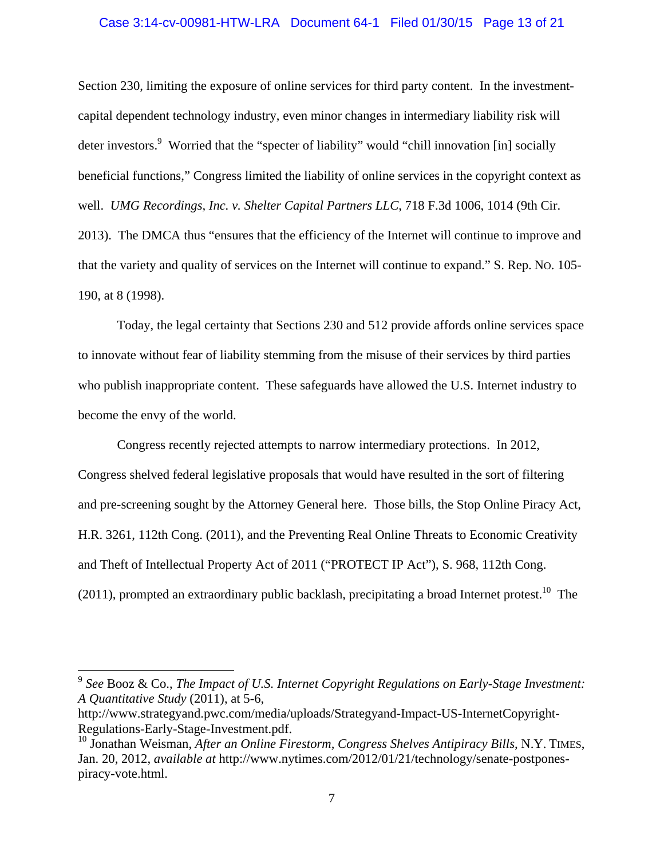### Case 3:14-cv-00981-HTW-LRA Document 64-1 Filed 01/30/15 Page 13 of 21

Section 230, limiting the exposure of online services for third party content. In the investmentcapital dependent technology industry, even minor changes in intermediary liability risk will deter investors.<sup>9</sup> Worried that the "specter of liability" would "chill innovation [in] socially beneficial functions," Congress limited the liability of online services in the copyright context as well. *UMG Recordings, Inc. v. Shelter Capital Partners LLC*, 718 F.3d 1006, 1014 (9th Cir. 2013). The DMCA thus "ensures that the efficiency of the Internet will continue to improve and that the variety and quality of services on the Internet will continue to expand." S. Rep. NO. 105- 190, at 8 (1998).

Today, the legal certainty that Sections 230 and 512 provide affords online services space to innovate without fear of liability stemming from the misuse of their services by third parties who publish inappropriate content. These safeguards have allowed the U.S. Internet industry to become the envy of the world.

Congress recently rejected attempts to narrow intermediary protections. In 2012, Congress shelved federal legislative proposals that would have resulted in the sort of filtering and pre-screening sought by the Attorney General here. Those bills, the Stop Online Piracy Act, H.R. 3261, 112th Cong. (2011), and the Preventing Real Online Threats to Economic Creativity and Theft of Intellectual Property Act of 2011 ("PROTECT IP Act"), S. 968, 112th Cong. (2011), prompted an extraordinary public backlash, precipitating a broad Internet protest.<sup>10</sup> The

<sup>9</sup> *See* Booz & Co., *The Impact of U.S. Internet Copyright Regulations on Early-Stage Investment: A Quantitative Study* (2011), at 5-6,

http://www.strategyand.pwc.com/media/uploads/Strategyand-Impact-US-InternetCopyright-Regulations-Early-Stage-Investment.pdf.

<sup>&</sup>lt;sup>10</sup> Jonathan Weisman, *After an Online Firestorm, Congress Shelves Antipiracy Bills*, N.Y. TIMES, Jan. 20, 2012, *available at* http://www.nytimes.com/2012/01/21/technology/senate-postponespiracy-vote.html.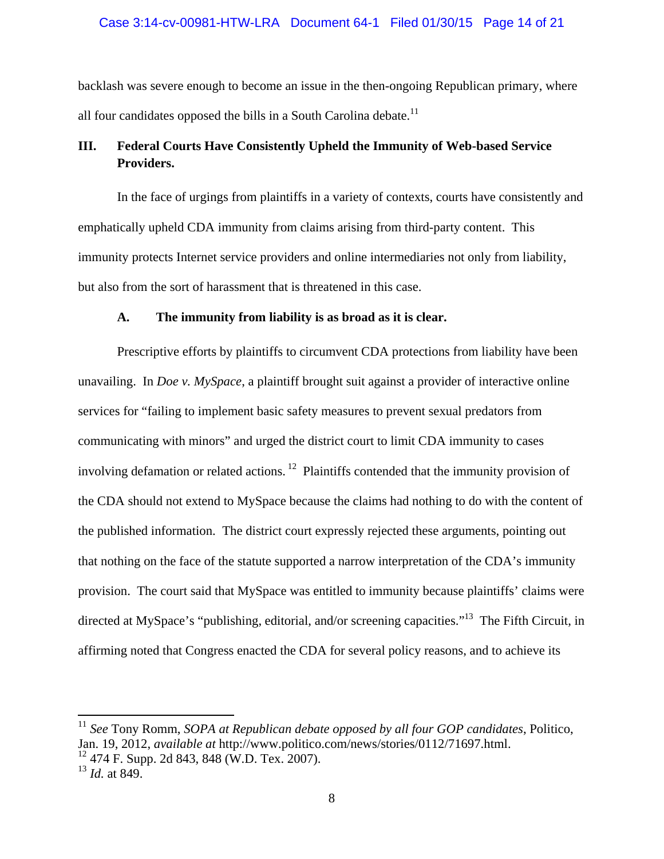### Case 3:14-cv-00981-HTW-LRA Document 64-1 Filed 01/30/15 Page 14 of 21

backlash was severe enough to become an issue in the then-ongoing Republican primary, where all four candidates opposed the bills in a South Carolina debate.<sup>11</sup>

## **III. Federal Courts Have Consistently Upheld the Immunity of Web-based Service Providers.**

In the face of urgings from plaintiffs in a variety of contexts, courts have consistently and emphatically upheld CDA immunity from claims arising from third-party content. This immunity protects Internet service providers and online intermediaries not only from liability, but also from the sort of harassment that is threatened in this case.

### **A. The immunity from liability is as broad as it is clear.**

Prescriptive efforts by plaintiffs to circumvent CDA protections from liability have been unavailing. In *Doe v. MySpace*, a plaintiff brought suit against a provider of interactive online services for "failing to implement basic safety measures to prevent sexual predators from communicating with minors" and urged the district court to limit CDA immunity to cases involving defamation or related actions.<sup>12</sup> Plaintiffs contended that the immunity provision of the CDA should not extend to MySpace because the claims had nothing to do with the content of the published information. The district court expressly rejected these arguments, pointing out that nothing on the face of the statute supported a narrow interpretation of the CDA's immunity provision. The court said that MySpace was entitled to immunity because plaintiffs' claims were directed at MySpace's "publishing, editorial, and/or screening capacities."<sup>13</sup> The Fifth Circuit, in affirming noted that Congress enacted the CDA for several policy reasons, and to achieve its

<sup>11</sup> *See* Tony Romm, *SOPA at Republican debate opposed by all four GOP candidates*, Politico, Jan. 19, 2012, *available at* http://www.politico.com/news/stories/0112/71697.html.  $12$  474 F. Supp. 2d 843, 848 (W.D. Tex. 2007).

<sup>13</sup> *Id.* at 849.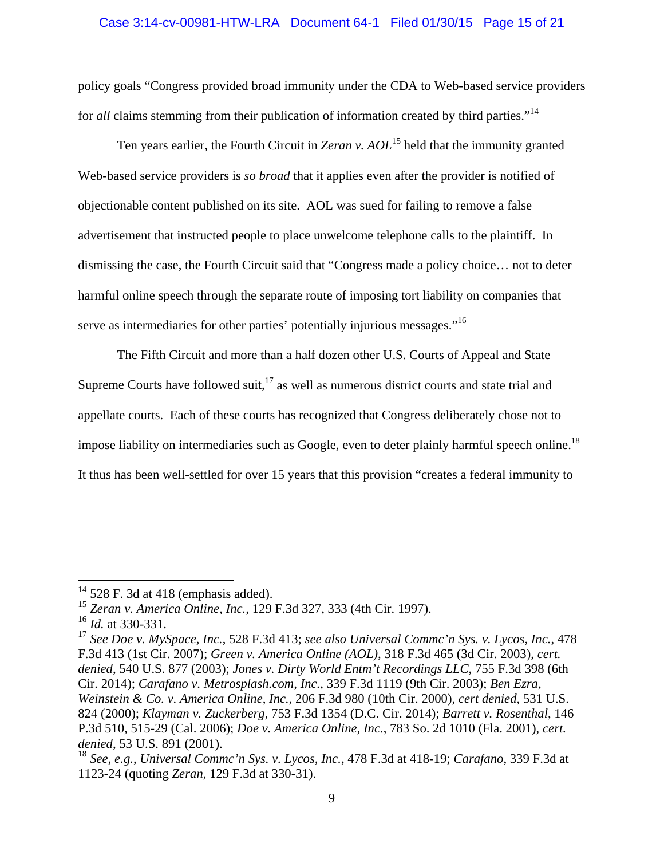### Case 3:14-cv-00981-HTW-LRA Document 64-1 Filed 01/30/15 Page 15 of 21

policy goals "Congress provided broad immunity under the CDA to Web-based service providers for *all* claims stemming from their publication of information created by third parties."<sup>14</sup>

 Ten years earlier, the Fourth Circuit in *Zeran v. AOL*15 held that the immunity granted Web-based service providers is *so broad* that it applies even after the provider is notified of objectionable content published on its site. AOL was sued for failing to remove a false advertisement that instructed people to place unwelcome telephone calls to the plaintiff. In dismissing the case, the Fourth Circuit said that "Congress made a policy choice… not to deter harmful online speech through the separate route of imposing tort liability on companies that serve as intermediaries for other parties' potentially injurious messages."<sup>16</sup>

 The Fifth Circuit and more than a half dozen other U.S. Courts of Appeal and State Supreme Courts have followed suit, $17$  as well as numerous district courts and state trial and appellate courts. Each of these courts has recognized that Congress deliberately chose not to impose liability on intermediaries such as Google, even to deter plainly harmful speech online.<sup>18</sup> It thus has been well-settled for over 15 years that this provision "creates a federal immunity to

 $14$  528 F. 3d at 418 (emphasis added).

<sup>15</sup> *Zeran v. America Online, Inc.,* 129 F.3d 327, 333 (4th Cir. 1997).

<sup>16</sup> *Id.* at 330-331.

<sup>17</sup> *See Doe v. MySpace, Inc.*, 528 F.3d 413; *see also Universal Commc'n Sys. v. Lycos, Inc.*, 478 F.3d 413 (1st Cir. 2007); *Green v. America Online (AOL)*, 318 F.3d 465 (3d Cir. 2003), *cert. denied*, 540 U.S. 877 (2003); *Jones v. Dirty World Entm't Recordings LLC*, 755 F.3d 398 (6th Cir. 2014); *Carafano v. Metrosplash.com, Inc.*, 339 F.3d 1119 (9th Cir. 2003); *Ben Ezra, Weinstein & Co. v. America Online*, *Inc.,* 206 F.3d 980 (10th Cir. 2000), *cert denied*, 531 U.S. 824 (2000); *Klayman v. Zuckerberg*, 753 F.3d 1354 (D.C. Cir. 2014); *Barrett v. Rosenthal*, 146 P.3d 510, 515-29 (Cal. 2006); *Doe v. America Online, Inc.*, 783 So. 2d 1010 (Fla. 2001), *cert. denied*, 53 U.S. 891 (2001).

<sup>18</sup> *See, e.g.*, *Universal Commc'n Sys. v. Lycos, Inc.*, 478 F.3d at 418-19; *Carafano*, 339 F.3d at 1123-24 (quoting *Zeran*, 129 F.3d at 330-31).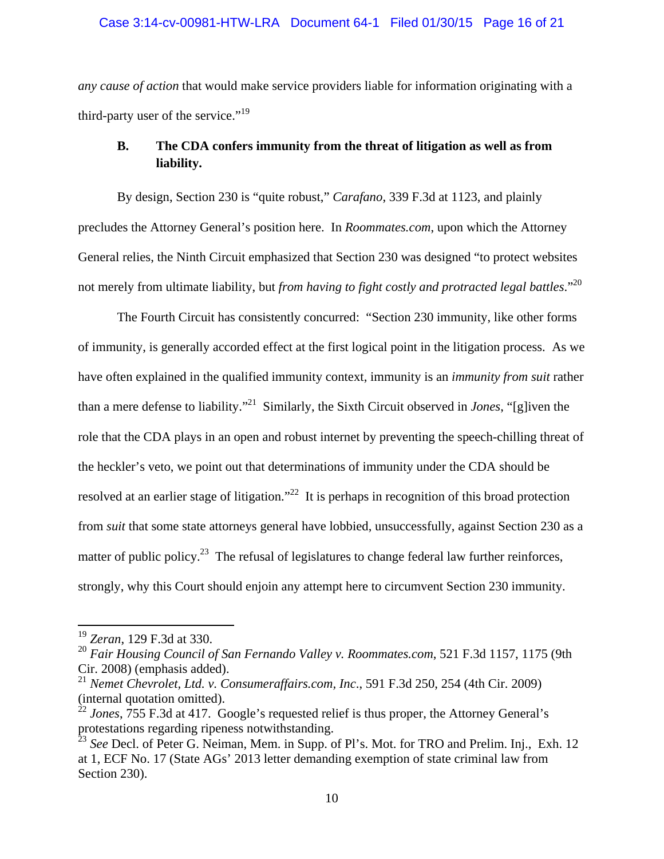### Case 3:14-cv-00981-HTW-LRA Document 64-1 Filed 01/30/15 Page 16 of 21

*any cause of action* that would make service providers liable for information originating with a third-party user of the service."<sup>19</sup>

## **B. The CDA confers immunity from the threat of litigation as well as from liability.**

By design, Section 230 is "quite robust," *Carafano*, 339 F.3d at 1123, and plainly precludes the Attorney General's position here. In *Roommates.com*, upon which the Attorney General relies, the Ninth Circuit emphasized that Section 230 was designed "to protect websites not merely from ultimate liability, but *from having to fight costly and protracted legal battles*."20

 The Fourth Circuit has consistently concurred: "Section 230 immunity, like other forms of immunity, is generally accorded effect at the first logical point in the litigation process. As we have often explained in the qualified immunity context, immunity is an *immunity from suit* rather than a mere defense to liability."21 Similarly, the Sixth Circuit observed in *Jones*, "[g]iven the role that the CDA plays in an open and robust internet by preventing the speech-chilling threat of the heckler's veto, we point out that determinations of immunity under the CDA should be resolved at an earlier stage of litigation."<sup>22</sup> It is perhaps in recognition of this broad protection from *suit* that some state attorneys general have lobbied, unsuccessfully, against Section 230 as a matter of public policy.<sup>23</sup> The refusal of legislatures to change federal law further reinforces, strongly, why this Court should enjoin any attempt here to circumvent Section 230 immunity.

<sup>19</sup> *Zeran*, 129 F.3d at 330.

<sup>20</sup> *Fair Housing Council of San Fernando Valley v. Roommates.com*, 521 F.3d 1157, 1175 (9th Cir. 2008) (emphasis added).

<sup>21</sup> *Nemet Chevrolet, Ltd. v. Consumeraffairs.com, Inc*., 591 F.3d 250, 254 (4th Cir. 2009) (internal quotation omitted).

<sup>&</sup>lt;sup>22</sup> *Jones*, 755 F.3d at 417. Google's requested relief is thus proper, the Attorney General's protestations regarding ripeness notwithstanding.

<sup>23</sup> *See* Decl. of Peter G. Neiman, Mem. in Supp. of Pl's. Mot. for TRO and Prelim. Inj., Exh. 12 at 1, ECF No. 17 (State AGs' 2013 letter demanding exemption of state criminal law from Section 230).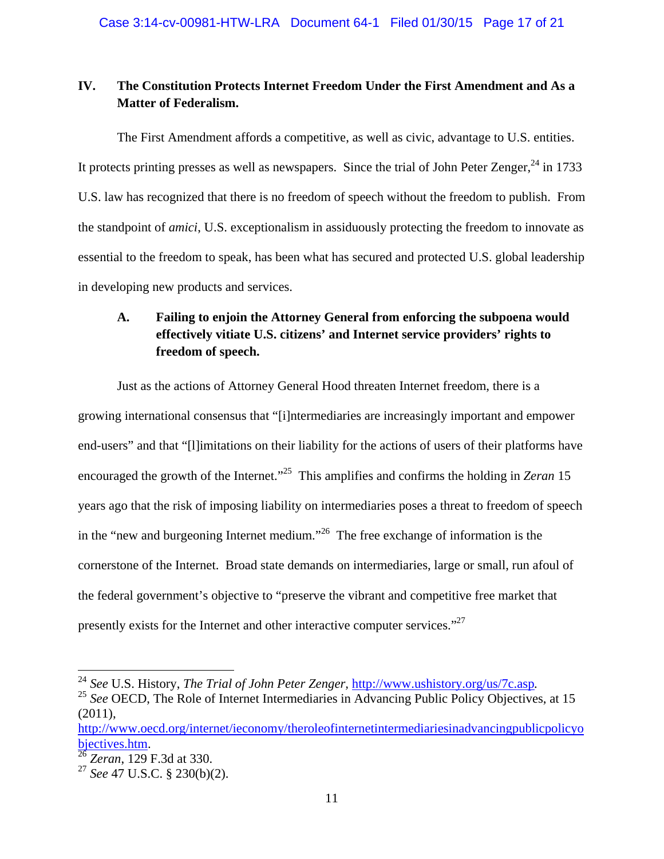## **IV. The Constitution Protects Internet Freedom Under the First Amendment and As a Matter of Federalism.**

The First Amendment affords a competitive, as well as civic, advantage to U.S. entities. It protects printing presses as well as newspapers. Since the trial of John Peter Zenger,<sup>24</sup> in 1733 U.S. law has recognized that there is no freedom of speech without the freedom to publish. From the standpoint of *amici*, U.S. exceptionalism in assiduously protecting the freedom to innovate as essential to the freedom to speak, has been what has secured and protected U.S. global leadership in developing new products and services.

# **A. Failing to enjoin the Attorney General from enforcing the subpoena would effectively vitiate U.S. citizens' and Internet service providers' rights to freedom of speech.**

Just as the actions of Attorney General Hood threaten Internet freedom, there is a growing international consensus that "[i]ntermediaries are increasingly important and empower end-users" and that "[l]imitations on their liability for the actions of users of their platforms have encouraged the growth of the Internet."<sup>25</sup> This amplifies and confirms the holding in *Zeran* 15 years ago that the risk of imposing liability on intermediaries poses a threat to freedom of speech in the "new and burgeoning Internet medium."<sup>26</sup> The free exchange of information is the cornerstone of the Internet. Broad state demands on intermediaries, large or small, run afoul of the federal government's objective to "preserve the vibrant and competitive free market that presently exists for the Internet and other interactive computer services."<sup>27</sup>

<sup>&</sup>lt;sup>24</sup> *See U.S. History, The Trial of John Peter Zenger, http://www.ushistory.org/us/7c.asp.* <sup>25</sup> *See* OECD, The Role of Internet Intermediaries in Advancing Public Policy Objectives, at 15

<sup>(2011),</sup>  http://www.oecd.org/internet/ieconomy/theroleofinternetintermediariesinadvancingpublicpolicyo

bjectives.htm. 26 *Zeran*, 129 F.3d at 330.

<sup>27</sup> *See* 47 U.S.C. § 230(b)(2).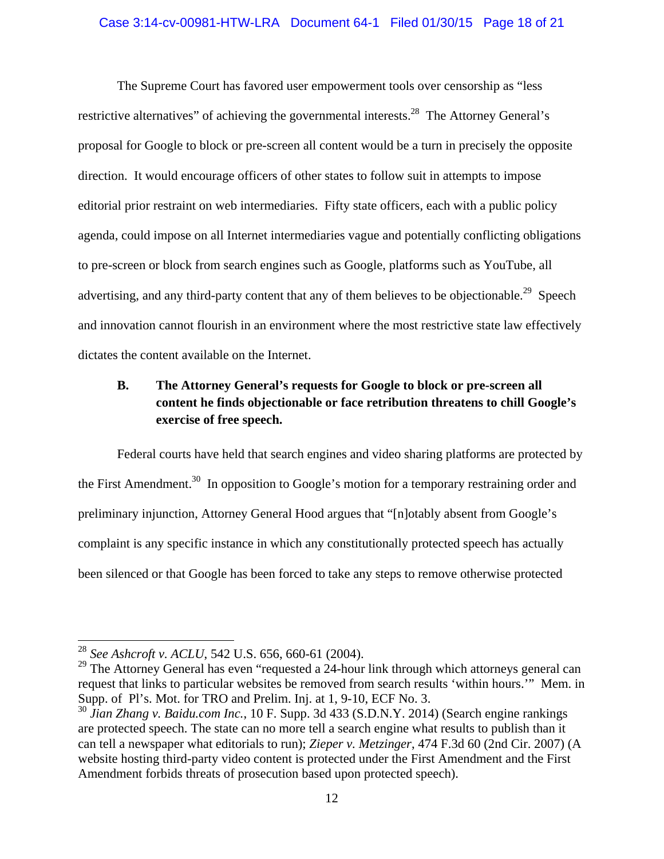### Case 3:14-cv-00981-HTW-LRA Document 64-1 Filed 01/30/15 Page 18 of 21

The Supreme Court has favored user empowerment tools over censorship as "less restrictive alternatives" of achieving the governmental interests.<sup>28</sup> The Attorney General's proposal for Google to block or pre-screen all content would be a turn in precisely the opposite direction. It would encourage officers of other states to follow suit in attempts to impose editorial prior restraint on web intermediaries. Fifty state officers, each with a public policy agenda, could impose on all Internet intermediaries vague and potentially conflicting obligations to pre-screen or block from search engines such as Google, platforms such as YouTube, all advertising, and any third-party content that any of them believes to be objectionable.<sup>29</sup> Speech and innovation cannot flourish in an environment where the most restrictive state law effectively dictates the content available on the Internet.

## **B. The Attorney General's requests for Google to block or pre-screen all content he finds objectionable or face retribution threatens to chill Google's exercise of free speech.**

Federal courts have held that search engines and video sharing platforms are protected by the First Amendment.<sup>30</sup> In opposition to Google's motion for a temporary restraining order and preliminary injunction, Attorney General Hood argues that "[n]otably absent from Google's complaint is any specific instance in which any constitutionally protected speech has actually been silenced or that Google has been forced to take any steps to remove otherwise protected

<sup>28</sup> *See Ashcroft v. ACLU*, 542 U.S. 656, 660-61 (2004).

 $29$  The Attorney General has even "requested a 24-hour link through which attorneys general can request that links to particular websites be removed from search results 'within hours.'" Mem. in Supp. of Pl's. Mot. for TRO and Prelim. Inj. at 1, 9-10, ECF No. 3.

<sup>30</sup> *Jian Zhang v. Baidu.com Inc.*, 10 F. Supp. 3d 433 (S.D.N.Y. 2014) (Search engine rankings are protected speech. The state can no more tell a search engine what results to publish than it can tell a newspaper what editorials to run); *Zieper v. Metzinger*, 474 F.3d 60 (2nd Cir. 2007) (A website hosting third-party video content is protected under the First Amendment and the First Amendment forbids threats of prosecution based upon protected speech).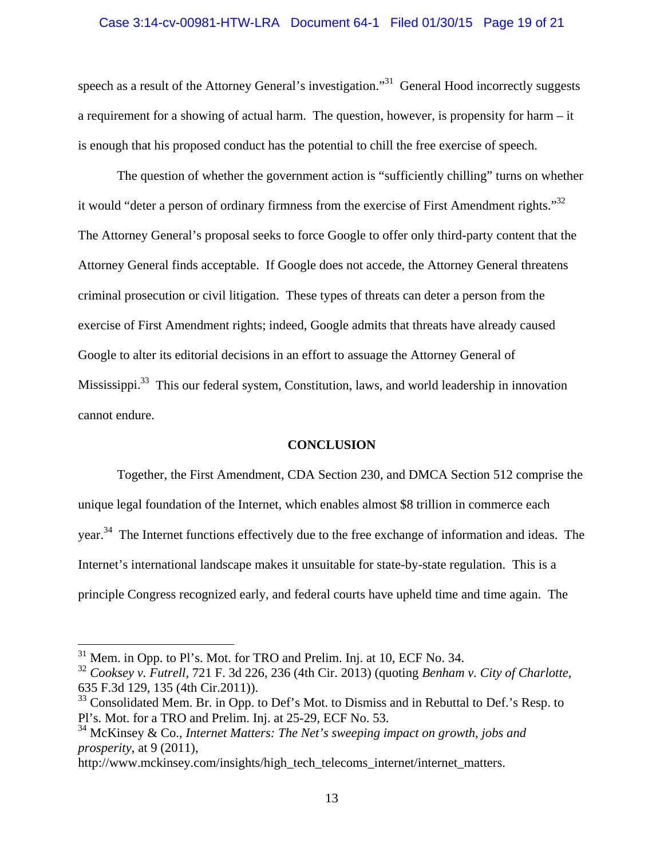#### Case 3:14-cv-00981-HTW-LRA Document 64-1 Filed 01/30/15 Page 19 of 21

speech as a result of the Attorney General's investigation."<sup>31</sup> General Hood incorrectly suggests a requirement for a showing of actual harm. The question, however, is propensity for harm – it is enough that his proposed conduct has the potential to chill the free exercise of speech.

The question of whether the government action is "sufficiently chilling" turns on whether it would "deter a person of ordinary firmness from the exercise of First Amendment rights."<sup>32</sup> The Attorney General's proposal seeks to force Google to offer only third-party content that the Attorney General finds acceptable. If Google does not accede, the Attorney General threatens criminal prosecution or civil litigation. These types of threats can deter a person from the exercise of First Amendment rights; indeed, Google admits that threats have already caused Google to alter its editorial decisions in an effort to assuage the Attorney General of Mississippi.<sup>33</sup> This our federal system, Constitution, laws, and world leadership in innovation cannot endure.

### **CONCLUSION**

Together, the First Amendment, CDA Section 230, and DMCA Section 512 comprise the unique legal foundation of the Internet, which enables almost \$8 trillion in commerce each year.<sup>34</sup> The Internet functions effectively due to the free exchange of information and ideas. The Internet's international landscape makes it unsuitable for state-by-state regulation. This is a principle Congress recognized early, and federal courts have upheld time and time again. The

 $31$  Mem. in Opp. to Pl's. Mot. for TRO and Prelim. Inj. at 10, ECF No. 34.

<sup>32</sup> *Cooksey v. Futrell*, 721 F. 3d 226, 236 (4th Cir. 2013) (quoting *Benham v. City of Charlotte*, 635 F.3d 129, 135 (4th Cir.2011)).

 $33$  Consolidated Mem. Br. in Opp. to Def's Mot. to Dismiss and in Rebuttal to Def.'s Resp. to Pl's. Mot. for a TRO and Prelim. Inj. at 25-29, ECF No. 53.

<sup>34</sup> McKinsey & Co., *Internet Matters: The Net's sweeping impact on growth, jobs and prosperity*, at 9 (2011),

http://www.mckinsey.com/insights/high\_tech\_telecoms\_internet/internet\_matters.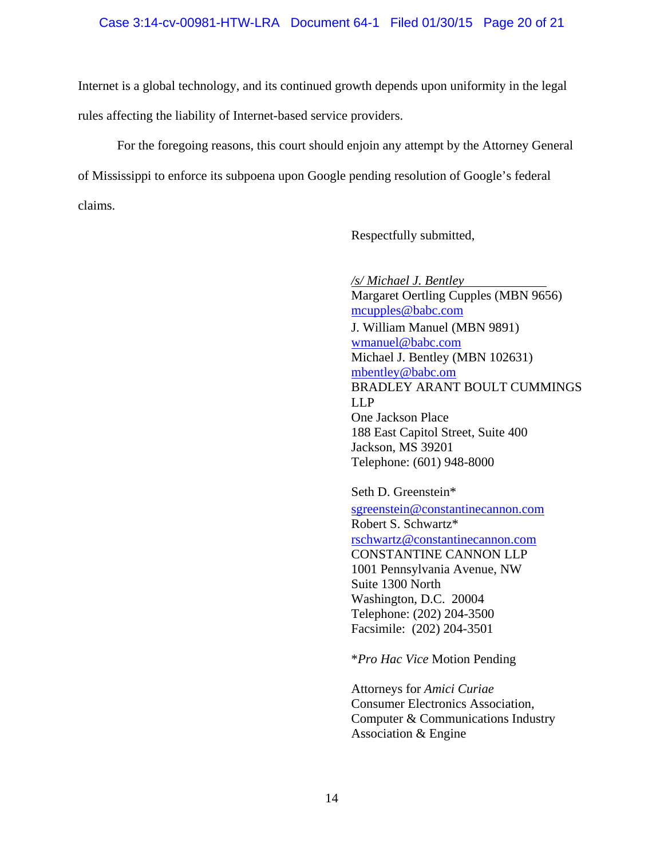### Case 3:14-cv-00981-HTW-LRA Document 64-1 Filed 01/30/15 Page 20 of 21

Internet is a global technology, and its continued growth depends upon uniformity in the legal rules affecting the liability of Internet-based service providers.

For the foregoing reasons, this court should enjoin any attempt by the Attorney General of Mississippi to enforce its subpoena upon Google pending resolution of Google's federal claims.

Respectfully submitted,

 */s/ Michael J. Bentley*  Margaret Oertling Cupples (MBN 9656) mcupples@babc.com J. William Manuel (MBN 9891) wmanuel@babc.com Michael J. Bentley (MBN 102631) mbentley@babc.om BRADLEY ARANT BOULT CUMMINGS LLP One Jackson Place 188 East Capitol Street, Suite 400 Jackson, MS 39201 Telephone: (601) 948-8000

Seth D. Greenstein\* sgreenstein@constantinecannon.com Robert S. Schwartz\* rschwartz@constantinecannon.com CONSTANTINE CANNON LLP 1001 Pennsylvania Avenue, NW Suite 1300 North Washington, D.C. 20004 Telephone: (202) 204-3500 Facsimile: (202) 204-3501

\**Pro Hac Vice* Motion Pending

Attorneys for *Amici Curiae* Consumer Electronics Association, Computer & Communications Industry Association & Engine